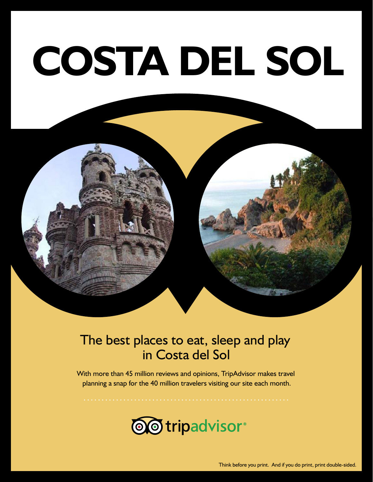# **COSTA DEL SOL**

#### The best places to eat, sleep and play in Costa del Sol

With more than 45 million reviews and opinions, TripAdvisor makes travel planning a snap for the 40 million travelers visiting our site each month.



Think before you print. And if you do print, print double-sided.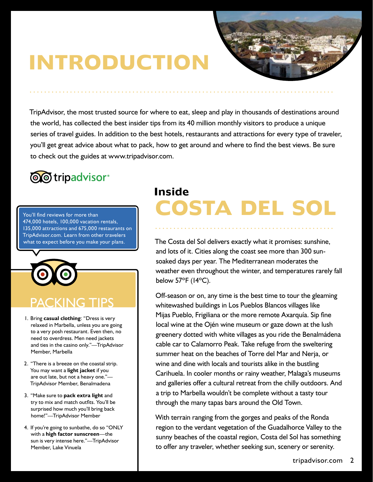## **INTRODUCTION**

TripAdvisor, the most trusted source for where to eat, sleep and play in thousands of destinations around the world, has collected the best insider tips from its 40 million monthly visitors to produce a unique series of travel guides. In addition to the best hotels, restaurants and attractions for every type of traveler, you'll get great advice about what to pack, how to get around and where to find the best views. Be sure to check out the guides at www.tripadvisor.com.

### **@@tripadvisor**®

474,000 hotels, 100,000 vacation rentals, 135,000 attractions and 675,000 restaurants on TripAdvisor.com. Learn from other travelers what to expect before you make your plans.



#### PACKING TIPS

- 1. Bring **casual clothing**: "Dress is very relaxed in Marbella, unless you are going to a very posh restaurant. Even then, no need to overdress. Men need jackets and ties in the casino only."—TripAdvisor Member, Marbella
- 2. "There is a breeze on the coastal strip. You may want a **light jacket** if you are out late, but not a heavy one."— TripAdvisor Member, Benalmadena
- 3. "Make sure to **pack extra light** and try to mix and match outfits. You'll be surprised how much you'll bring back home!"—TripAdvisor Member
- 4. If you're going to sunbathe, do so "ONLY with a **high factor sunscreen**—the sun is very intense here."—TripAdvisor Member, Lake Vinuela

### **Inside** You'll find reviews for more than **COSTA DEL SOL**

The Costa del Sol delivers exactly what it promises: sunshine, and lots of it. Cities along the coast see more than 300 sunsoaked days per year. The Mediterranean moderates the weather even throughout the winter, and temperatures rarely fall below 57ºF (14ºC).

Off-season or on, any time is the best time to tour the gleaming whitewashed buildings in Los Pueblos Blancos villages like Mijas Pueblo, Frigiliana or the more remote Axarquía. Sip fine local wine at the Ojén wine museum or gaze down at the lush greenery dotted with white villages as you ride the Benalmádena cable car to Calamorro Peak. Take refuge from the sweltering summer heat on the beaches of Torre del Mar and Nerja, or wine and dine with locals and tourists alike in the bustling Carihuela. In cooler months or rainy weather, Malaga's museums and galleries offer a cultural retreat from the chilly outdoors. And a trip to Marbella wouldn't be complete without a tasty tour through the many tapas bars around the Old Town.

With terrain ranging from the gorges and peaks of the Ronda region to the verdant vegetation of the Guadalhorce Valley to the sunny beaches of the coastal region, Costa del Sol has something to offer any traveler, whether seeking sun, scenery or serenity.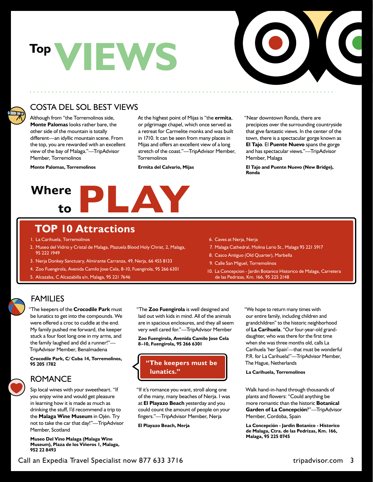## **VIEWS Top**



#### COSTA DEL SOL BEST VIEWS

Although from "the Torremolinos side, **Monte Palomas** looks rather bare, the other side of the mountain is totally different—an idyllic mountain scene. From the top, you are rewarded with an excellent view of the bay of Malaga."—TripAdvisor Member, Torremolinos

**Monte Palomas, Torremolinos**

At the highest point of Mijas is "the **ermita**, or pilgrimage chapel, which once served as a retreat for Carmelite monks and was built in 1710. It can be seen from many places in Mijas and offers an excellent view of a long stretch of the coast."—TripAdvisor Member, **Torremolinos** 

**Ermita del Calvario, Mijas**

"Near downtown Ronda, there are precipices over the surrounding countryside that give fantastic views. In the center of the town, there is a spectacular gorge known as **El Tajo**. El **Puente Nuevo** spans the gorge and has spectacular views."—TripAdvisor Member, Malaga

**El Tajo and Puente Nuevo (New Bridge), Ronda** 



#### **TOP 10 Attractions**

- 1. La Carihuela, Torremolinos
- 2. Museo del Vidrio y Cristal de Malaga, Plazuela Blood Holy Christ, 2, Malaga, 95 222 1949
- 3. Nerja Donkey Sanctuary, Almirante Carranza, 49, Nerja, 66 455 8133
- 4. Zoo Fuengirola, Avenida Camilo Jose Cela, 8-10, Fuengirola, 95 266 6301
- 5. Alcazaba, C Alcazabilla s/n, Malaga, 95 221 7646
- 6. Caves at Nerja, Nerja
- 7. Malaga Cathedral, Molina Lario St., Malaga 95 221 5917
- 8. Casco Antiguo (Old Quarter), Marbella
- 9. Calle San Miguel, Torremolinos
- 10. La Concepcion Jardin Botanico Historico de Malaga, Carretera de las Pedrizas, Km. 166, 95 225 2148

#### FAMILIES

"The keepers of the **Crocodile Park** must be lunatics to get into the compounds. We were offered a croc to cuddle at the end. My family pushed me forward, the keeper stuck a four foot long one in my arms, and the family laughed and did a runner!"— TripAdvisor Member, Benalmadena

**Crocodile Park, C/ Cuba 14, Torremolinos, 95 205 1782**

#### ROMANCE

Sip local wines with your sweetheart. "If you enjoy wine and would get pleasure in learning how it is made as much as drinking the stuff, I'd recommend a trip to the **Malaga Wine Museum** in Ojén. Try not to take the car that day!"—TripAdvisor Member, Scotland

**Museo Del Vino Malaga (Malaga Wine Museum), Plaza de los Viñeros 1, Malaga, 952 22 8493**

"The **Zoo Fuengirola** is well designed and laid out with kids in mind. All of the animals are in spacious enclosures, and they all seem very well cared for."—TripAdvisor Member

**Zoo Fuengirola, Avenida Camilo Jose Cela 8–10, Fuengirola, 95 266 6301**

#### **"The keepers must be lunatics."**

"If it's romance you want, stroll along one of the many, many beaches of Nerja. I was at **El Playazo Beach** yesterday and you could count the amount of people on your fingers."—TripAdvisor Member, Nerja

**El Playazo Beach, Nerja**

"We hope to return many times with our entire family, including children and grandchildren" to the historic neighborhood of **La Carihuela**. "Our four-year-old granddaughter, who was there for the first time when she was three months old, calls La Carihuela 'her Spain'—that must be wonderful P.R. for La Carihuela!"—TripAdvisor Member, The Hague, Netherlands

**La Carihuela, Torremolinos**

Walk hand-in-hand through thousands of plants and flowers: "Could anything be more romantic than the historic **Botanical Garden of La Concepción**?"—TripAdvisor Member, Cordoba, Spain

**La Concepción - Jardin Botanico - Historico de Malaga, Ctra. de las Pedrizas, Km. 166, Malaga, 95 225 0745**

Call an Expedia Travel Specialist now 877 633 3716 tripadvisor.com 3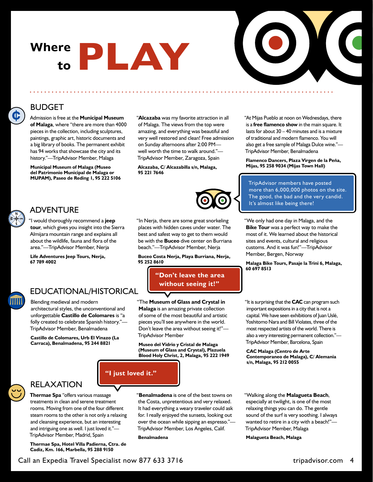# **Where to PLAY**



#### BUDGET

¢

Admission is free at the **Municipal Museum of Malaga**, where "there are more than 4000 pieces in the collection, including sculptures, paintings, graphic art, historic documents and a big library of books. The permanent exhibit has 94 works that showcase the city and its history."—TripAdvisor Member, Malaga

**Municipal Museum of Malaga (Museo del Patrimonio Municipal de Malaga or MUPAM), Paseo de Reding 1, 95 222 5106** "**Alcazaba** was my favorite attraction in all of Malaga. The views from the top were amazing, and everything was beautiful and very well restored and clean! Free admission on Sunday afternoons after 2:00 PM well worth the time to walk around."— TripAdvisor Member, Zaragoza, Spain

**Alcazaba, C/ Alcazabilla s/n, Malaga, 95 221 7646**



"In Nerja, there are some great snorkeling places with hidden caves under water. The best and safest way to get to them would be with the **Buceo** dive center on Burriana beach."—TripAdvisor Member, Nerja

**Buceo Costa Nerja, Playa Burriana, Nerja, 95 252 8610**

> **"Don't leave the area without seeing it!"**

"The **Museum of Glass and Crystal in Malaga** is an amazing private collection of some of the most beautiful and artistic pieces you'll see anywhere in the world. Don't leave the area without seeing it!"— TripAdvisor Member

**Museo del Vidrio y Cristal de Malaga (Museum of Glass and Crystal), Plazuela Blood Holy Christ, 2, Malaga, 95 222 1949** "At Mijas Pueblo at noon on Wednesdays, there is a **free flamenco show** in the main square. It lasts for about 30 – 40 minutes and is a mixture of traditional and modern flamenco. You will also get a free sample of Malaga Dulce wine."— TripAdvisor Member, Benalmadena

**Flamenco Dancers, Plaza Virgen de la Peña, Mijas, 95 258 9034 (Mijas Town Hall)**

TripAdvisor members have posted more than 6,000,000 photos on the site. The good, the bad and the very candid. It's almost like being there!

"We only had one day in Malaga, and the **Bike Tour** was a perfect way to make the most of it. We learned about the historical sites and events, cultural and religious customs. And it was fun!"—TripAdvisor Member, Bergen, Norway

**Malaga Bike Tours, Pasaje la Trini 6, Malaga, 60 697 8513**

"It is surprising that the **CAC** can program such important expositions in a city that is not a capital. We have seen exhibitions of Juan Uslé, Yoshitomo Nara and Bill Violates, three of the most respected artists of the world. There is also a very interesting permanent collection."— TripAdvisor Member, Barcelona, Spain

**CAC Malaga (Centro de Arte Contemporaneo de Malaga), C/ Alemania s/n, Malaga, 95 212 0055**



#### RELAXATION

**Thermae Spa** "offers various massage treatments in clean and serene treatment rooms. Moving from one of the four different steam rooms to the other is not only a relaxing and cleansing experience, but an interesting and intriguing one as well. I just loved it."— TripAdvisor Member, Madrid, Spain

**Thermae Spa, Hotel Villa Padierna, Ctra. de Cadiz, Km. 166, Marbella, 95 288 9150**

"**Benalmadena** is one of the best towns on the Costa, unpretentious and very relaxed. It had everything a weary traveler could ask for. I really enjoyed the sunsets, looking out over the ocean while sipping an espresso."— TripAdvisor Member, Los Angeles, Calif.

**Benalmadena**

**"I just loved it."**

"Walking along the **Malagueta Beach**, especially at twilight, is one of the most relaxing things you can do. The gentle sound of the surf is very soothing. I always wanted to retire in a city with a beach!"— TripAdvisor Member, Malaga

**Malagueta Beach, Malaga**



"I would thoroughly recommend a **jeep tour**, which gives you insight into the Sierra Almijara mountain range and explains all about the wildlife, fauna and flora of the area."—TripAdvisor Member, Nerja

**Life Adventures Jeep Tours, Nerja, 67 789 4002**

#### EDUCATIONAL/HISTORICAL

Blending medieval and modern architectural styles, the unconventional and unforgettable **Castillo de Colomares** is "a folly created to celebrate Spanish history."— TripAdvisor Member, Benalmadena

**Castillo de Colomares, Urb El Vinazo (La Carraca), Benalmadena, 95 244 8821**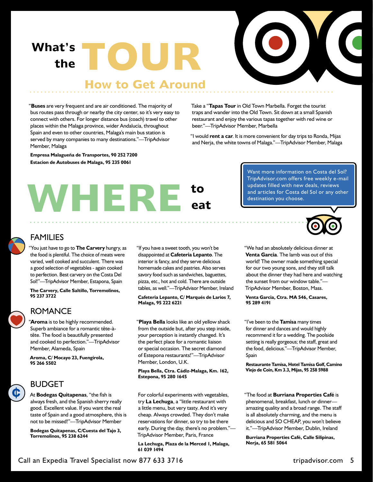**What's theTOUR**



#### **How to Get Around**

"**Buses** are very frequent and are air conditioned. The majority of bus routes pass through or nearby the city center, so it's very easy to connect with others. For longer distance bus (coach) travel to other places within the Malaga province, wider Andalucía, throughout Spain and even to other countries, Malaga's main bus station is served by many companies to many destinations."—TripAdvisor Member, Malaga

**Empresa Malagueña de Transportes, 90 252 7200 Estacion de Autobuses de Malaga, 95 235 0061** 

Take a "**Tapas Tour** in Old Town Marbella. Forget the tourist traps and wander into the Old Town. Sit down at a small Spanish restaurant and enjoy the various tapas together with red wine or beer."—TripAdvisor Member, Marbella

"I would **rent a car**. It is more convenient for day trips to Ronda, Mijas and Nerja, the white towns of Malaga."—TripAdvisor Member, Malaga



Want more information on Costa del Sol? TripAdvisor.com offers free weekly e-mail updates filled with new deals, reviews and articles for Costa del Sol or any other destination you choose.



#### FAMILIES

"You just have to go to **The Carvery** hungry, as the food is plentiful. The choice of meats were varied, well cooked and succulent. There was a good selection of vegetables - again cooked to perfection. Best carvery on the Costa Del Sol!"—TripAdvisor Member, Estapona, Spain

**The Carvery, Calle Saltillo, Torremolinos, 95 237 3722**

#### ROMANCE

"**Aroma** is to be highly recommended. Superb ambiance for a romantic tête-àtête. The food is beautifully presented and cooked to perfection."—TripAdvisor Member, Alameda, Spain

**Aroma, C/ Mocayo 23, Fuengirola, 95 266 5502**



#### BUDGET

At **Bodegas Quitapenas**, "the fish is always fresh, and the Spanish sherry really good. Excellent value. If you want the real taste of Spain and a good atmosphere, this is not to be missed!"—TripAdvisor Member

**Bodegas Quitapenas, C/Cuesta del Tajo 3, Torremolinos, 95 238 6244**

"If you have a sweet tooth, you won't be disappointed at **Cafeteria Lepanto**. The interior is fancy, and they serve delicious homemade cakes and pastries. Also serves savory food such as sandwiches, baguettes, pizza, etc., hot and cold. There are outside tables, as well."—TripAdvisor Member, Ireland

#### **Cafeteria Lepanto, C/ Marqués de Larios 7, Malaga, 95 222 6221**

"**Playa Bella** looks like an old yellow shack from the outside but, after you step inside, your perception is instantly changed. It's the perfect place for a romantic liaison or special occasion. The secret diamond of Estepona restaurants!"—TripAdvisor Member, London, U.K.

**Playa Bella, Ctra. Cádiz-Malaga, Km. 162, Estepona, 95 280 1645**

For colorful experiments with vegetables, try **La Lechuga**, a "little restaurant with a little menu, but very tasty. And it's very cheap. Always crowded. They don't make reservations for dinner, so try to be there early. During the day, there's no problem."— TripAdvisor Member, Paris, France

**La Lechuga, Plaza de la Merced 1, Malaga, 61 039 1494**

"We had an absolutely delicious dinner at **Venta Garcia**. The lamb was out of this world! The owner made something special for our two young sons, and they still talk about the dinner they had here and watching the sunset from our window table."— TripAdvisor Member, Boston, Mass.

**Venta Garcia, Ctra. MA 546, Casares, 95 289 4191**

"I've been to the **Tamisa** many times for dinner and dances and would highly recommend it for a wedding. The poolside setting is really gorgeous; the staff, great and the food, delicious."—TripAdvisor Member, Spain

**Restaurante Tamisa, Hotel Tamisa Golf, Camino Viejo de Coin, Km 3.3, Mijas, 95 258 5988** 

"The food at **Burriana Properties Café** is phenomenal, breakfast, lunch or dinner amazing quality and a broad range. The staff is all absolutely charming, and the menu is delicious and SO CHEAP, you won't believe it."—TripAdvisor Member, Dublin, Ireland

**Burriana Properties Café, Calle Silipinas, Nerja, 65 581 5064**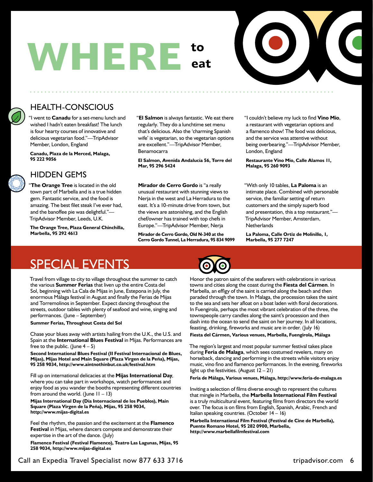## **WHERE to eat**



#### HEALTH-CONSCIOUS

"I went to **Canadu** for a set-menu lunch and wished I hadn't eaten breakfast! The lunch is four hearty courses of innovative and delicious vegetarian food."—TripAdvisor Member, London, England

**Canadu, Plaza de la Merced, Malaga, 95 222 9056**

#### HIDDEN GEMS

"**The Orange Tree** is located in the old town part of Marbella and is a true hidden gem. Fantastic service, and the food is amazing. The best filet steak I've ever had, and the banoffee pie was delightful."— TripAdvisor Member, Leeds, U.K.

**The Orange Tree, Plaza General Chinchilla, Marbella, 95 292 4613**

"**El Salmon** is always fantastic. We eat there regularly. They do a lunchtime set menu that's delicious. Also the 'charming Spanish wife' is vegetarian, so the vegetarian options are excellent."—TripAdvisor Member, Benamocarra

**El Salmon, Avenida Andalucía 56, Torre del Mar, 95 296 5424**

**Mirador de Cerro Gordo** is "a really unusual restaurant with stunning views to Nerja in the west and La Herradura to the east. It's a 10-minute drive from town, but the views are astonishing, and the English chef/owner has trained with top chefs in Europe."—TripAdvisor Member, Nerja

**Mirador de Cerro Gordo, Old N-340 at the Cerro Gordo Tunnel, La Herradura, 95 834 9099** "I couldn't believe my luck to find **Vino Mio**, a restaurant with vegetarian options and a flamenco show! The food was delicious, and the service was attentive without being overbearing."—TripAdvisor Member, London, England

**Restaurante Vino Mio, Calle Alamos 11, Malaga, 95 260 9093**

"With only 10 tables, **La Paloma** is an intimate place. Combined with personable service, the familiar setting of return customers and the simply superb food and presentation, this a top restaurant."— TripAdvisor Member, Amsterdam, **Netherlands** 

**La Paloma, Calle Ortiz de Molinillo, 1, Marbella, 95 277 7247**

### SPECIAL EVENTS

Travel from village to city to village throughout the summer to catch the various **Summer Ferias** that liven up the entire Costa del Sol, beginning with La Cala de Mijas in June, Estepona in July, the enormous Málaga festival in August and finally the Ferias de Mijas and Torremolinos in September. Expect dancing throughout the streets, outdoor tables with plenty of seafood and wine, singing and performances. (June – September)

#### **Summer Ferias, Throughout Costa del Sol**

Chase your blues away with artists hailing from the U.K., the U.S. and Spain at the **International Blues Festival** in Mijas. Performances are free to the public. (June  $4-5$ )

**Second International Blues Festival (II Festival Internacional de Blues, Mijas), Mijas Hotel and Main Square (Plaza Virgen de la Peña), Mijas, 95 258 9034, http://www.aintnothinbut.co.uk/festival.htm**

Fill up on international delicacies at the **Mijas International Day**, where you can take part in workshops, watch performances and enjoy food as you wander the booths representing different countries from around the world. (June  $11 - 13$ )

**Mijas International Day (Día Internacional de los Pueblos), Main Square (Plaza Virgen de la Peña), Mijas, 95 258 9034, http://www.mijas-digital.es**

Feel the rhythm, the passion and the excitement at the **Flamenco Festival** in Mijas, where dancers compete and demonstrate their expertise in the art of the dance. (July)

**Flamenco Festival (Festival Flamenco), Teatro Las Lagunas, Mijas, 95 258 9034, http://www.mijas-digital.es**



Honor the patron saint of the seafarers with celebrations in various towns and cities along the coast during the **Fiesta del Cármen**. In Marbella, an effigy of the saint is carried along the beach and then paraded through the town. In Malaga, the procession takes the saint to the sea and sets her afloat on a boat laden with floral decorations. In Fuengirola, perhaps the most vibrant celebration of the three, the townspeople carry candles along the saint's procession and then dash into the ocean to send the saint on her journey. In all locations, feasting, drinking, fireworks and music are in order. (July 16)

**Fiesta del Cármen, Various venues, Marbella, Fuengirola, Málaga**

The region's largest and most popular summer festival takes place during **Feria de Malaga**, which sees costumed revelers, many on horseback, dancing and performing in the streets while visitors enjoy music, vino fino and flamenco performances. In the evening, fireworks light up the festivities. (August 12 – 21)

**Feria de Málaga, Various venues, Málaga, http://www.feria-de-malaga.es**

Inviting a selection of films diverse enough to represent the cultures that mingle in Marbella, the **Marbella International Film Festival**  is a truly multicultural event, featuring films from directors the world over. The focus is on films from English, Spanish, Arabic, French and Italian speaking countries. (October 14 – 16)

**Marbella International Film Festival (Festival de Cine de Marbella), Puente Romano Hotel, 95 282 0900, Marbella, http://www.marbellafilmfestival.com**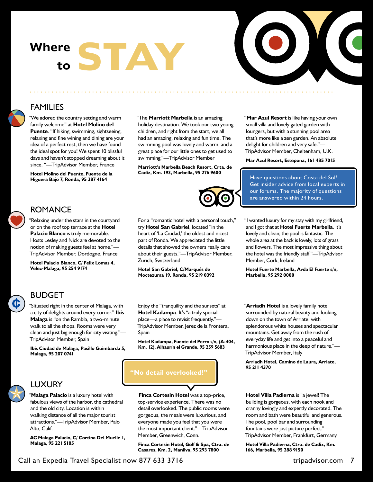## Where **STAY to**



#### FAMILIES

"We adored the country setting and warm family welcome" at **Hotel Molino del Puente**. "If hiking, swimming, sightseeing, relaxing and fine wining and dining are your idea of a perfect rest, then we have found the ideal spot for you! We spent 10 blissful days and haven't stopped dreaming about it since. "—TripAdvisor Member, France

**Hotel Molino del Puente, Fuente de la Higuera Bajo 7, Ronda, 95 287 4164**

"The **Marriott Marbella** is an amazing holiday destination. We took our two young children, and right from the start, we all had an amazing, relaxing and fun time. The swimming pool was lovely and warm, and a great place for our little ones to get used to swimming."—TripAdvisor Member

**Marriott's Marbella Beach Resort, Crta. de Cadiz, Km. 193, Marbella, 95 276 9600**

"**Mar Azul Resort** is like having your own small villa and lovely gated garden with loungers, but with a stunning pool area that's more like a zen garden. An absolute delight for children and very safe."— TripAdvisor Member, Cheltenham, U.K.

**Mar Azul Resort, Estepona, 161 485 7015**

Have questions about Costa del Sol? Get insider advice from local experts in our forums. The majority of questions are answered within 24 hours.

or on the roof top terrace at the **Hotel Palacio Blanco** is truly memorable. Hosts Lesley and Nick are devoted to the notion of making guests feel at home."— TripAdvisor Member, Dordogne, France



#### ROMANCE

'Relaxing under the stars in the courtyard

**Hotel Palacio Blanco, C/ Felix Lomas 4, Velez-Malaga, 95 254 9174**



For a "romantic hotel with a personal touch," try **Hotel San Gabriel**, located "in the heart of 'La Ciudad,' the oldest and nicest part of Ronda. We appreciated the little details that showed the owners really care about their guests."—TripAdvisor Member, Zurich, Switzerland

**Hotel San Gabriel, C/Marqués de Moctezuma 19, Ronda, 95 219 0392** "I wanted luxury for my stay with my girlfriend, and I got that at **Hotel Fuerte Marbella**. It's lovely and clean; the pool is fantastic. The whole area at the back is lovely, lots of grass and flowers. The most impressive thing about the hotel was the friendly staff."—TripAdvisor Member, Cork, Ireland

**Hotel Fuerte Marbella, Avda El Fuerte s/n, Marbella, 95 292 0000**

#### BUDGET

"Situated right in the center of Malaga, with a city of delights around every corner." **Ibis Malaga** is "on the Rambla, a two-minute walk to all the shops. Rooms were very clean and just big enough for city visiting."— TripAdvisor Member, Spain

**Ibis Ciudad de Malaga, Pasillo Guimbarda 5, Malaga, 95 207 0741**



#### LUXURY

"**Malaga Palacio** is a luxury hotel with fabulous views of the harbor, the cathedral and the old city. Location is within walking distance of all the major tourist attractions."—TripAdvisor Member, Palo Alto, Calif.

**AC Malaga Palacio, C/ Cortina Del Muelle 1, Malaga, 95 221 5185**

Enjoy the "tranquility and the sunsets" at **Hotel Kadampa**. It's "a truly special place—a place to revisit frequently."— TripAdvisor Member, Jerez de la Frontera, Spain

**Hotel Kadampa, Fuente del Perro s/n, (A-404, Km. 12), Alhaurín el Grande, 95 259 5683**

#### **"No detail overlooked!"**

"**Finca Cortesin Hotel** was a top-price, top-service experience. There was no detail overlooked. The public rooms were gorgeous, the meals were luxurious, and everyone made you feel that you were the most important client."—TripAdvisor Member, Greenwich, Conn.

**Finca Cortesin Hotel, Golf & Spa, Ctra. de Casares, Km. 2, Manilva, 95 293 7800**

"**Arriadh Hotel** is a lovely family hotel surrounded by natural beauty and looking down on the town of Arriate, with splendorous white houses and spectacular mountains. Get away from the rush of everyday life and get into a peaceful and harmonious place in the deep of nature."— TripAdvisor Member, Italy

**Arriadh Hotel, Camino de Laura, Arriate, 95 211 4370**

**Hotel Villa Padierna** is "a jewel! The building is gorgeous, with each nook and cranny lovingly and expertly decorated. The room and bath were beautiful and generous. The pool, pool bar and surrounding fountains were just picture perfect."— TripAdvisor Member, Frankfurt, Germany

**Hotel Villa Padierna, Ctra. de Cadiz, Km. 166, Marbella, 95 288 9150**